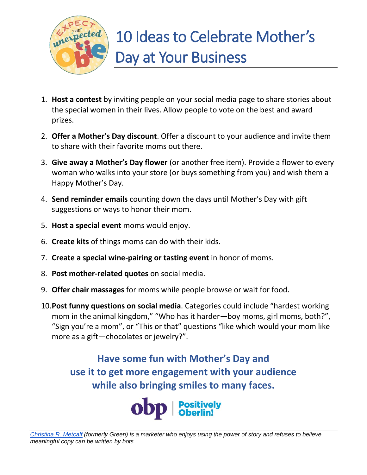

- 1. **Host a contest** by inviting people on your social media page to share stories about the special women in their lives. Allow people to vote on the best and award prizes.
- 2. **Offer a Mother's Day discount**. Offer a discount to your audience and invite them to share with their favorite moms out there.
- 3. **Give away a Mother's Day flower** (or another free item). Provide a flower to every woman who walks into your store (or buys something from you) and wish them a Happy Mother's Day.
- 4. **Send reminder emails** counting down the days until Mother's Day with gift suggestions or ways to honor their mom.
- 5. **Host a special event** moms would enjoy.
- 6. **Create kits** of things moms can do with their kids.
- 7. **Create a special wine-pairing or tasting event** in honor of moms.
- 8. **Post mother-related quotes** on social media.
- 9. **Offer chair massages** for moms while people browse or wait for food.
- 10.**Post funny questions on social media**. Categories could include "hardest working mom in the animal kingdom," "Who has it harder—boy moms, girl moms, both?", "Sign you're a mom", or "This or that" questions "like which would your mom like more as a gift—chocolates or jewelry?".

**Have some fun with Mother's Day and use it to get more engagement with your audience while also bringing smiles to many faces.**